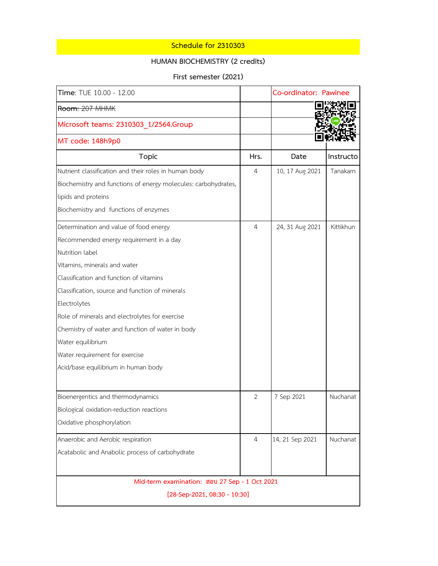## **Schedule for 2310303**

## **HUMAN BIOCHEMISTRY (2 credits)**

**First semester (2021)**

| Time: TUE 10.00 - 12.00                                        |                | Co-ordinator: Pawinee |           |  |
|----------------------------------------------------------------|----------------|-----------------------|-----------|--|
| Room: 207 MHMK                                                 |                |                       |           |  |
| Microsoft teams: 2310303 1/2564.Group                          |                |                       |           |  |
| MT code: 148h9p0                                               |                |                       |           |  |
| Topic                                                          | Hrs.           | Date                  | Instructo |  |
| Nutrient classification and their roles in human body          | 4              | 10, 17 Aug 2021       | Tanakarn  |  |
| Biochemistry and functions of energy molecules: carbohydrates, |                |                       |           |  |
| lipids and proteins                                            |                |                       |           |  |
| Biochemistry and functions of enzymes                          |                |                       |           |  |
| Determination and value of food energy                         | 4              | 24, 31 Aug 2021       | Kittikhun |  |
| Recommended energy requirement in a day                        |                |                       |           |  |
| Nutrition label                                                |                |                       |           |  |
| Vitamins, minerals and water                                   |                |                       |           |  |
| Classification and function of vitamins                        |                |                       |           |  |
| Classification, source and function of minerals                |                |                       |           |  |
| Electrolytes                                                   |                |                       |           |  |
| Role of minerals and electrolytes for exercise                 |                |                       |           |  |
| Chemistry of water and function of water in body               |                |                       |           |  |
| Water equilibrium                                              |                |                       |           |  |
| Water requirement for exercise                                 |                |                       |           |  |
| Acid/base equilibrium in human body                            |                |                       |           |  |
| Bioenergentics and thermodynamics                              | $\overline{2}$ | 7 Sep 2021            | Nuchanat  |  |
| Biological oxidation-reduction reactions                       |                |                       |           |  |
| Oxidative phosphorylation                                      |                |                       |           |  |
| Anaerobic and Aerobic respiration                              | 4              | 14, 21 Sep 2021       | Nuchanat  |  |
| Acatabolic and Anabolic process of carbohydrate                |                |                       |           |  |
| Mid-term examination: สอบ 27 Sep - 1 Oct 2021                  |                |                       |           |  |
| $[28-Sep-2021, 08:30 - 10:30]$                                 |                |                       |           |  |